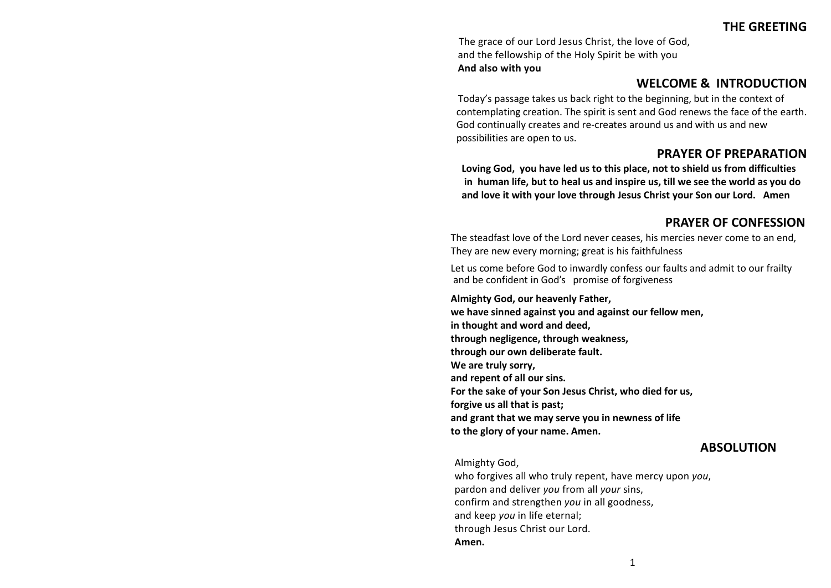The grace of our Lord Jesus Christ, the love of God, and the fellowship of the Holy Spirit be with you **And also with you**

#### **WELCOME & INTRODUCTION**

Today's passage takes us back right to the beginning, but in the context of contemplating creation. The spirit is sent and God renews the face of the earth. God continually creates and re-creates around us and with us and new possibilities are open to us.

## **PRAYER OF PREPARATION**

**Loving God, you have led us to this place, not to shield us from difficulties in human life, but to heal us and inspire us, till we see the world as you do and love it with your love through Jesus Christ your Son our Lord. Amen** 

#### **PRAYER OF CONFESSION**

The steadfast love of the Lord never ceases, his mercies never come to an end, They are new every morning; great is his faithfulness

Let us come before God to inwardly confess our faults and admit to our frailty and be confident in God's promise of forgiveness

**Almighty God, our heavenly Father, we have sinned against you and against our fellow men, in thought and word and deed, through negligence, through weakness, through our own deliberate fault. We are truly sorry, and repent of all our sins. For the sake of your Son Jesus Christ, who died for us, forgive us all that is past; and grant that we may serve you in newness of life to the glory of your name. Amen.**

#### **ABSOLUTION**

Almighty God,

who forgives all who truly repent, have mercy upon *you*, pardon and deliver *you* from all *your* sins, confirm and strengthen *you* in all goodness, and keep *you* in life eternal; through Jesus Christ our Lord. **Amen.**